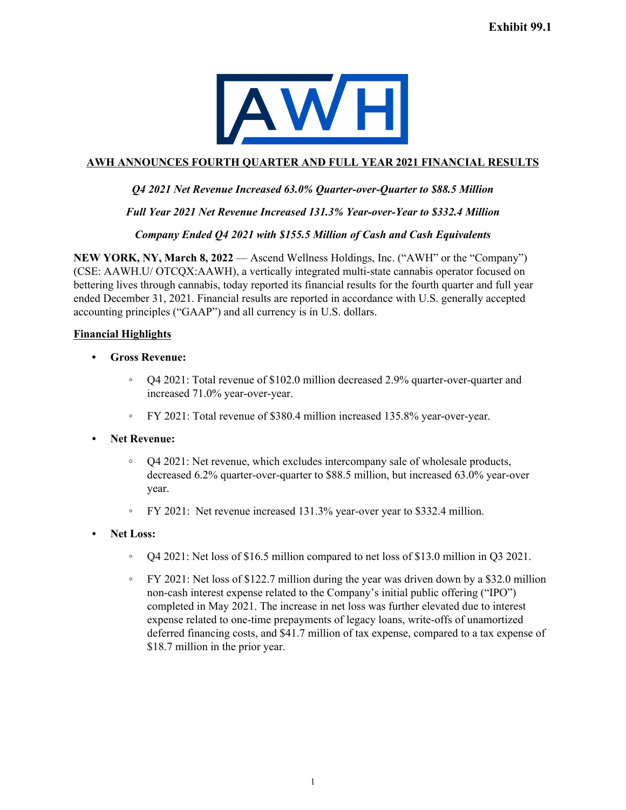

# **AWH ANNOUNCES FOURTH QUARTER AND FULL YEAR 2021 FINANCIAL RESULTS**

# *Q4 2021 Net Revenue Increased 63.0% Quarter-over-Quarter to \$88.5 Million*

*Full Year 2021 Net Revenue Increased 131.3% Year-over-Year to \$332.4 Million*

#### *Company Ended Q4 2021 with \$155.5 Million of Cash and Cash Equivalents*

**NEW YORK, NY, March 8, 2022** — Ascend Wellness Holdings, Inc. ("AWH" or the "Company") (CSE: AAWH.U/ OTCQX:AAWH), a vertically integrated multi-state cannabis operator focused on bettering lives through cannabis, today reported its financial results for the fourth quarter and full year ended December 31, 2021. Financial results are reported in accordance with U.S. generally accepted accounting principles ("GAAP") and all currency is in U.S. dollars.

## **Financial Highlights**

- **• Gross Revenue:**
	- Q4 2021: Total revenue of \$102.0 million decreased 2.9% quarter-over-quarter and increased 71.0% year-over-year.
	- FY 2021: Total revenue of \$380.4 million increased 135.8% year-over-year.

#### *•* **Net Revenue:**

- **◦** Q4 2021: Net revenue, which excludes intercompany sale of wholesale products, decreased 6.2% quarter-over-quarter to \$88.5 million, but increased 63.0% year-over year.
- FY 2021: Net revenue increased 131.3% year-over year to \$332.4 million.
- *•* **Net Loss:**
	- Q4 2021: Net loss of \$16.5 million compared to net loss of \$13.0 million in Q3 2021.
	- FY 2021: Net loss of \$122.7 million during the year was driven down by a \$32.0 million non-cash interest expense related to the Company's initial public offering ("IPO") completed in May 2021. The increase in net loss was further elevated due to interest expense related to one-time prepayments of legacy loans, write-offs of unamortized deferred financing costs, and \$41.7 million of tax expense, compared to a tax expense of \$18.7 million in the prior year.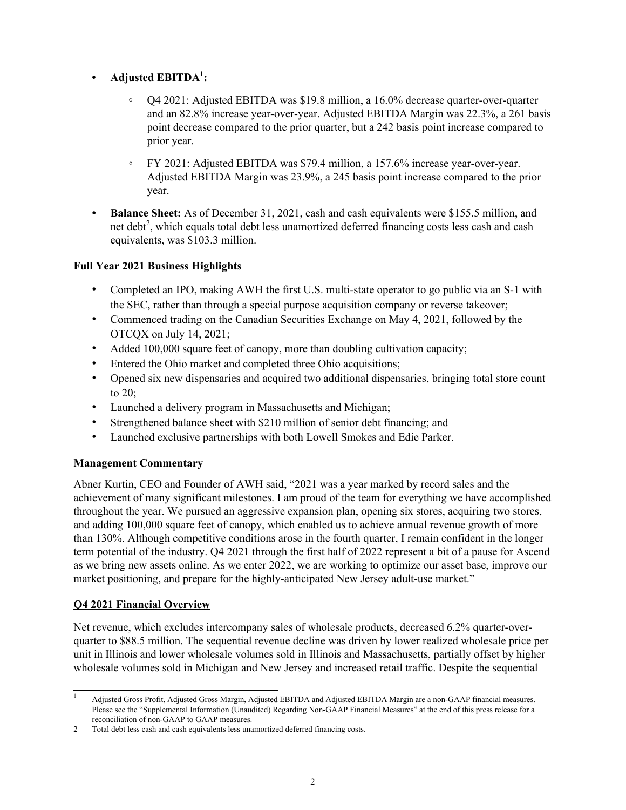# **• Adjusted EBITDA<sup>1</sup> :**

- **◦** Q4 2021: Adjusted EBITDA was \$19.8 million, a 16.0% decrease quarter-over-quarter and an 82.8% increase year-over-year. Adjusted EBITDA Margin was 22.3%, a 261 basis point decrease compared to the prior quarter, but a 242 basis point increase compared to prior year.
- FY 2021: Adjusted EBITDA was \$79.4 million, a 157.6% increase year-over-year. Adjusted EBITDA Margin was 23.9%, a 245 basis point increase compared to the prior year.
- *•* **Balance Sheet:** As of December 31, 2021, cash and cash equivalents were \$155.5 million, and net debt<sup>2</sup>, which equals total debt less unamortized deferred financing costs less cash and cash equivalents, was \$103.3 million.

# **Full Year 2021 Business Highlights**

- Completed an IPO, making AWH the first U.S. multi-state operator to go public via an S-1 with the SEC, rather than through a special purpose acquisition company or reverse takeover;
- Commenced trading on the Canadian Securities Exchange on May 4, 2021, followed by the OTCQX on July 14, 2021;
- Added 100,000 square feet of canopy, more than doubling cultivation capacity;
- Entered the Ohio market and completed three Ohio acquisitions;
- Opened six new dispensaries and acquired two additional dispensaries, bringing total store count to 20;
- Launched a delivery program in Massachusetts and Michigan;
- Strengthened balance sheet with \$210 million of senior debt financing; and
- Launched exclusive partnerships with both Lowell Smokes and Edie Parker.

# **Management Commentary**

Abner Kurtin, CEO and Founder of AWH said, "2021 was a year marked by record sales and the achievement of many significant milestones. I am proud of the team for everything we have accomplished throughout the year. We pursued an aggressive expansion plan, opening six stores, acquiring two stores, and adding 100,000 square feet of canopy, which enabled us to achieve annual revenue growth of more than 130%. Although competitive conditions arose in the fourth quarter, I remain confident in the longer term potential of the industry. Q4 2021 through the first half of 2022 represent a bit of a pause for Ascend as we bring new assets online. As we enter 2022, we are working to optimize our asset base, improve our market positioning, and prepare for the highly-anticipated New Jersey adult-use market."

# **Q4 2021 Financial Overview**

Net revenue, which excludes intercompany sales of wholesale products, decreased 6.2% quarter-overquarter to \$88.5 million. The sequential revenue decline was driven by lower realized wholesale price per unit in Illinois and lower wholesale volumes sold in Illinois and Massachusetts, partially offset by higher wholesale volumes sold in Michigan and New Jersey and increased retail traffic. Despite the sequential

<sup>1</sup> Adjusted Gross Profit, Adjusted Gross Margin, Adjusted EBITDA and Adjusted EBITDA Margin are a non-GAAP financial measures. Please see the "Supplemental Information (Unaudited) Regarding Non-GAAP Financial Measures" at the end of this press release for a reconciliation of non-GAAP to GAAP measures.

<sup>2</sup> Total debt less cash and cash equivalents less unamortized deferred financing costs.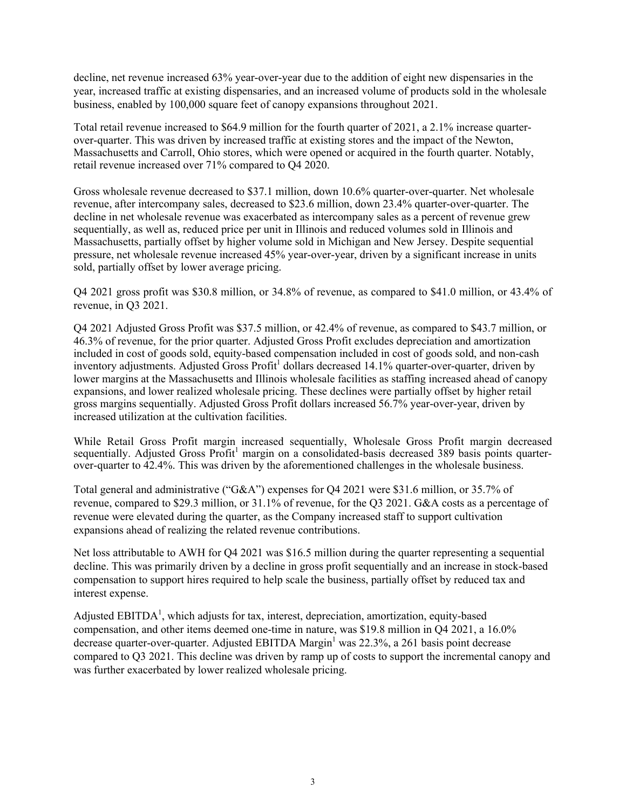decline, net revenue increased 63% year-over-year due to the addition of eight new dispensaries in the year, increased traffic at existing dispensaries, and an increased volume of products sold in the wholesale business, enabled by 100,000 square feet of canopy expansions throughout 2021.

Total retail revenue increased to \$64.9 million for the fourth quarter of 2021, a 2.1% increase quarterover-quarter. This was driven by increased traffic at existing stores and the impact of the Newton, Massachusetts and Carroll, Ohio stores, which were opened or acquired in the fourth quarter. Notably, retail revenue increased over 71% compared to Q4 2020.

Gross wholesale revenue decreased to \$37.1 million, down 10.6% quarter-over-quarter. Net wholesale revenue, after intercompany sales, decreased to \$23.6 million, down 23.4% quarter-over-quarter. The decline in net wholesale revenue was exacerbated as intercompany sales as a percent of revenue grew sequentially, as well as, reduced price per unit in Illinois and reduced volumes sold in Illinois and Massachusetts, partially offset by higher volume sold in Michigan and New Jersey. Despite sequential pressure, net wholesale revenue increased 45% year-over-year, driven by a significant increase in units sold, partially offset by lower average pricing.

Q4 2021 gross profit was \$30.8 million, or 34.8% of revenue, as compared to \$41.0 million, or 43.4% of revenue, in Q3 2021.

Q4 2021 Adjusted Gross Profit was \$37.5 million, or 42.4% of revenue, as compared to \$43.7 million, or 46.3% of revenue, for the prior quarter. Adjusted Gross Profit excludes depreciation and amortization included in cost of goods sold, equity-based compensation included in cost of goods sold, and non-cash inventory adjustments. Adjusted Gross Profit<sup>1</sup> dollars decreased 14.1% quarter-over-quarter, driven by lower margins at the Massachusetts and Illinois wholesale facilities as staffing increased ahead of canopy expansions, and lower realized wholesale pricing. These declines were partially offset by higher retail gross margins sequentially. Adjusted Gross Profit dollars increased 56.7% year-over-year, driven by increased utilization at the cultivation facilities.

While Retail Gross Profit margin increased sequentially, Wholesale Gross Profit margin decreased sequentially. Adjusted Gross Profit<sup>1</sup> margin on a consolidated-basis decreased 389 basis points quarterover-quarter to 42.4%. This was driven by the aforementioned challenges in the wholesale business.

Total general and administrative ("G&A") expenses for Q4 2021 were \$31.6 million, or 35.7% of revenue, compared to \$29.3 million, or 31.1% of revenue, for the Q3 2021. G&A costs as a percentage of revenue were elevated during the quarter, as the Company increased staff to support cultivation expansions ahead of realizing the related revenue contributions.

Net loss attributable to AWH for Q4 2021 was \$16.5 million during the quarter representing a sequential decline. This was primarily driven by a decline in gross profit sequentially and an increase in stock-based compensation to support hires required to help scale the business, partially offset by reduced tax and interest expense.

Adjusted EBITDA<sup>1</sup>, which adjusts for tax, interest, depreciation, amortization, equity-based compensation, and other items deemed one-time in nature, was \$19.8 million in Q4 2021, a 16.0% decrease quarter-over-quarter. Adjusted EBITDA Margin<sup>1</sup> was 22.3%, a 261 basis point decrease compared to Q3 2021. This decline was driven by ramp up of costs to support the incremental canopy and was further exacerbated by lower realized wholesale pricing.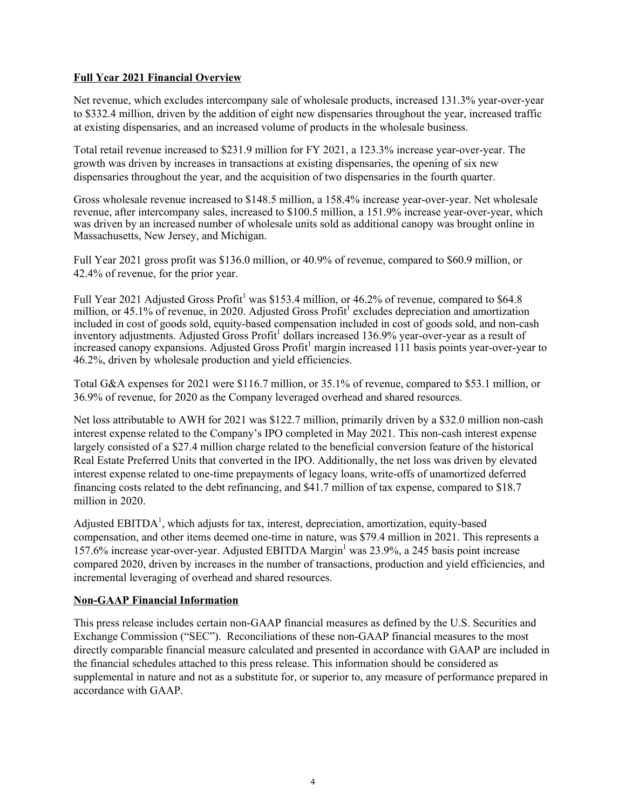### **Full Year 2021 Financial Overview**

Net revenue, which excludes intercompany sale of wholesale products, increased 131.3% year-over-year to \$332.4 million, driven by the addition of eight new dispensaries throughout the year, increased traffic at existing dispensaries, and an increased volume of products in the wholesale business.

Total retail revenue increased to \$231.9 million for FY 2021, a 123.3% increase year-over-year. The growth was driven by increases in transactions at existing dispensaries, the opening of six new dispensaries throughout the year, and the acquisition of two dispensaries in the fourth quarter.

Gross wholesale revenue increased to \$148.5 million, a 158.4% increase year-over-year. Net wholesale revenue, after intercompany sales, increased to \$100.5 million, a 151.9% increase year-over-year, which was driven by an increased number of wholesale units sold as additional canopy was brought online in Massachusetts, New Jersey, and Michigan.

Full Year 2021 gross profit was \$136.0 million, or 40.9% of revenue, compared to \$60.9 million, or 42.4% of revenue, for the prior year.

Full Year 2021 Adjusted Gross Profit<sup>1</sup> was \$153.4 million, or 46.2% of revenue, compared to \$64.8 million, or 45.1% of revenue, in 2020. Adjusted Gross Profit<sup>1</sup> excludes depreciation and amortization included in cost of goods sold, equity-based compensation included in cost of goods sold, and non-cash inventory adjustments. Adjusted Gross Profit<sup>1</sup> dollars increased 136.9% year-over-year as a result of increased canopy expansions. Adjusted Gross Profit<sup>1</sup> margin increased 111 basis points year-over-year to 46.2%, driven by wholesale production and yield efficiencies.

Total G&A expenses for 2021 were \$116.7 million, or 35.1% of revenue, compared to \$53.1 million, or 36.9% of revenue, for 2020 as the Company leveraged overhead and shared resources.

Net loss attributable to AWH for 2021 was \$122.7 million, primarily driven by a \$32.0 million non-cash interest expense related to the Company's IPO completed in May 2021. This non-cash interest expense largely consisted of a \$27.4 million charge related to the beneficial conversion feature of the historical Real Estate Preferred Units that converted in the IPO. Additionally, the net loss was driven by elevated interest expense related to one-time prepayments of legacy loans, write-offs of unamortized deferred financing costs related to the debt refinancing, and \$41.7 million of tax expense, compared to \$18.7 million in 2020.

Adjusted EBITDA<sup>1</sup>, which adjusts for tax, interest, depreciation, amortization, equity-based compensation, and other items deemed one-time in nature, was \$79.4 million in 2021. This represents a 157.6% increase year-over-year. Adjusted EBITDA Margin<sup>1</sup> was 23.9%, a 245 basis point increase compared 2020, driven by increases in the number of transactions, production and yield efficiencies, and incremental leveraging of overhead and shared resources.

#### **Non-GAAP Financial Information**

This press release includes certain non-GAAP financial measures as defined by the U.S. Securities and Exchange Commission ("SEC"). Reconciliations of these non-GAAP financial measures to the most directly comparable financial measure calculated and presented in accordance with GAAP are included in the financial schedules attached to this press release. This information should be considered as supplemental in nature and not as a substitute for, or superior to, any measure of performance prepared in accordance with GAAP.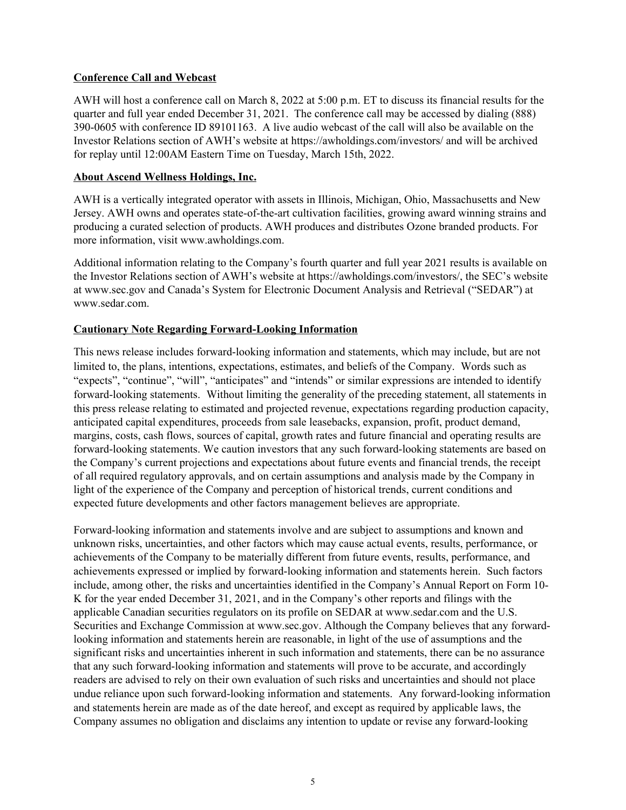#### **Conference Call and Webcast**

AWH will host a conference call on March 8, 2022 at 5:00 p.m. ET to discuss its financial results for the quarter and full year ended December 31, 2021. The conference call may be accessed by dialing (888) 390-0605 with conference ID 89101163. A live audio webcast of the call will also be available on the Investor Relations section of AWH's website at https://awholdings.com/investors/ and will be archived for replay until 12:00AM Eastern Time on Tuesday, March 15th, 2022.

## **About Ascend Wellness Holdings, Inc.**

AWH is a vertically integrated operator with assets in Illinois, Michigan, Ohio, Massachusetts and New Jersey. AWH owns and operates state-of-the-art cultivation facilities, growing award winning strains and producing a curated selection of products. AWH produces and distributes Ozone branded products. For more information, visit www.awholdings.com.

Additional information relating to the Company's fourth quarter and full year 2021 results is available on the Investor Relations section of AWH's website at https://awholdings.com/investors/, the SEC's website at www.sec.gov and Canada's System for Electronic Document Analysis and Retrieval ("SEDAR") at www.sedar.com.

## **Cautionary Note Regarding Forward-Looking Information**

This news release includes forward-looking information and statements, which may include, but are not limited to, the plans, intentions, expectations, estimates, and beliefs of the Company. Words such as "expects", "continue", "will", "anticipates" and "intends" or similar expressions are intended to identify forward-looking statements. Without limiting the generality of the preceding statement, all statements in this press release relating to estimated and projected revenue, expectations regarding production capacity, anticipated capital expenditures, proceeds from sale leasebacks, expansion, profit, product demand, margins, costs, cash flows, sources of capital, growth rates and future financial and operating results are forward-looking statements. We caution investors that any such forward-looking statements are based on the Company's current projections and expectations about future events and financial trends, the receipt of all required regulatory approvals, and on certain assumptions and analysis made by the Company in light of the experience of the Company and perception of historical trends, current conditions and expected future developments and other factors management believes are appropriate.

Forward-looking information and statements involve and are subject to assumptions and known and unknown risks, uncertainties, and other factors which may cause actual events, results, performance, or achievements of the Company to be materially different from future events, results, performance, and achievements expressed or implied by forward-looking information and statements herein. Such factors include, among other, the risks and uncertainties identified in the Company's Annual Report on Form 10- K for the year ended December 31, 2021, and in the Company's other reports and filings with the applicable Canadian securities regulators on its profile on SEDAR at www.sedar.com and the U.S. Securities and Exchange Commission at www.sec.gov. Although the Company believes that any forwardlooking information and statements herein are reasonable, in light of the use of assumptions and the significant risks and uncertainties inherent in such information and statements, there can be no assurance that any such forward-looking information and statements will prove to be accurate, and accordingly readers are advised to rely on their own evaluation of such risks and uncertainties and should not place undue reliance upon such forward-looking information and statements. Any forward-looking information and statements herein are made as of the date hereof, and except as required by applicable laws, the Company assumes no obligation and disclaims any intention to update or revise any forward-looking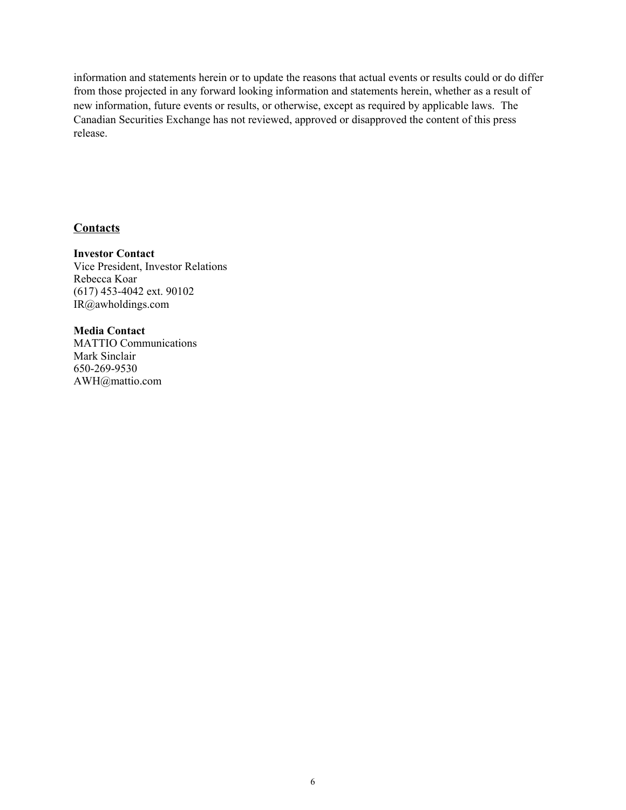information and statements herein or to update the reasons that actual events or results could or do differ from those projected in any forward looking information and statements herein, whether as a result of new information, future events or results, or otherwise, except as required by applicable laws. The Canadian Securities Exchange has not reviewed, approved or disapproved the content of this press release.

# **Contacts**

**Investor Contact** Vice President, Investor Relations Rebecca Koar (617) 453-4042 ext. 90102 IR@awholdings.com

**Media Contact** MATTIO Communications Mark Sinclair 650-269-9530 AWH@mattio.com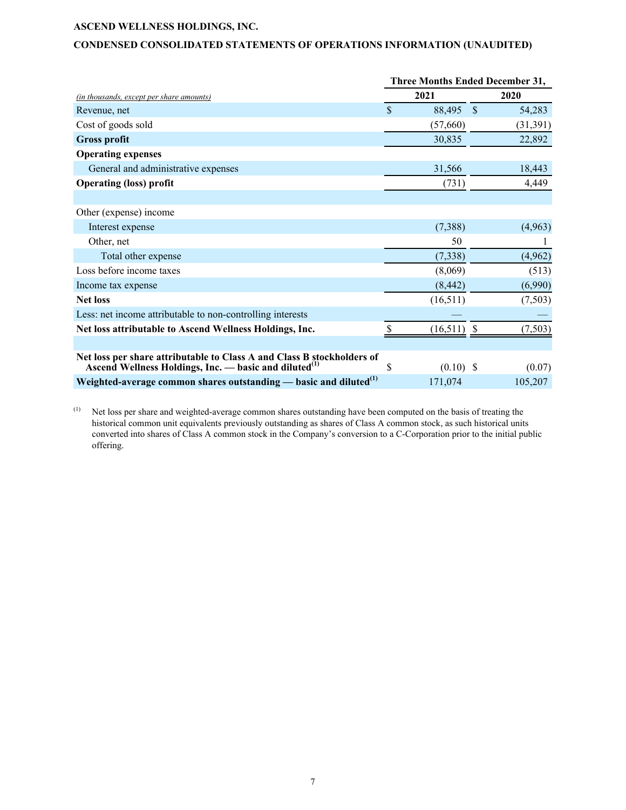## **CONDENSED CONSOLIDATED STATEMENTS OF OPERATIONS INFORMATION (UNAUDITED)**

|                                                                                                                                             | <b>Three Months Ended December 31,</b> |             |                    |           |  |
|---------------------------------------------------------------------------------------------------------------------------------------------|----------------------------------------|-------------|--------------------|-----------|--|
| (in thousands, except per share amounts)                                                                                                    |                                        | 2021        |                    | 2020      |  |
| Revenue, net                                                                                                                                | \$                                     | 88,495      | $\mathbf{\hat{S}}$ | 54,283    |  |
| Cost of goods sold                                                                                                                          |                                        | (57,660)    |                    | (31, 391) |  |
| <b>Gross profit</b>                                                                                                                         |                                        | 30,835      |                    | 22,892    |  |
| <b>Operating expenses</b>                                                                                                                   |                                        |             |                    |           |  |
| General and administrative expenses                                                                                                         |                                        | 31,566      |                    | 18,443    |  |
| <b>Operating (loss) profit</b>                                                                                                              |                                        | (731)       |                    | 4,449     |  |
|                                                                                                                                             |                                        |             |                    |           |  |
| Other (expense) income                                                                                                                      |                                        |             |                    |           |  |
| Interest expense                                                                                                                            |                                        | (7,388)     |                    | (4,963)   |  |
| Other, net                                                                                                                                  |                                        | 50          |                    |           |  |
| Total other expense                                                                                                                         |                                        | (7, 338)    |                    | (4,962)   |  |
| Loss before income taxes                                                                                                                    |                                        | (8,069)     |                    | (513)     |  |
| Income tax expense                                                                                                                          |                                        | (8, 442)    |                    | (6,990)   |  |
| <b>Net loss</b>                                                                                                                             |                                        | (16,511)    |                    | (7,503)   |  |
| Less: net income attributable to non-controlling interests                                                                                  |                                        |             |                    |           |  |
| Net loss attributable to Ascend Wellness Holdings, Inc.                                                                                     |                                        | (16, 511)   |                    | (7,503)   |  |
|                                                                                                                                             |                                        |             |                    |           |  |
| Net loss per share attributable to Class A and Class B stockholders of<br>Ascend Wellness Holdings, Inc. — basic and diluted <sup>(1)</sup> | \$                                     | $(0.10)$ \$ |                    | (0.07)    |  |
| Weighted-average common shares outstanding — basic and diluted <sup>(1)</sup>                                                               |                                        | 171,074     |                    | 105,207   |  |

(1) Net loss per share and weighted-average common shares outstanding have been computed on the basis of treating the historical common unit equivalents previously outstanding as shares of Class A common stock, as such historical units converted into shares of Class A common stock in the Company's conversion to a C-Corporation prior to the initial public offering.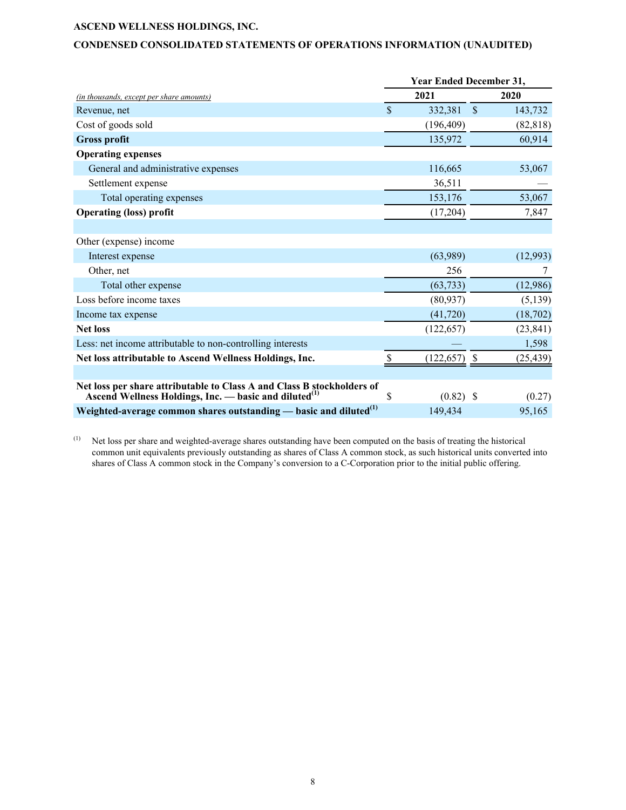## **CONDENSED CONSOLIDATED STATEMENTS OF OPERATIONS INFORMATION (UNAUDITED)**

|                                                                                                                                             | Year Ended December 31, |                 |               |           |
|---------------------------------------------------------------------------------------------------------------------------------------------|-------------------------|-----------------|---------------|-----------|
| (in thousands, except per share amounts)                                                                                                    |                         | 2021            |               | 2020      |
| Revenue, net                                                                                                                                | $\mathbf S$             | 332,381         | $\mathcal{S}$ | 143,732   |
| Cost of goods sold                                                                                                                          |                         | (196, 409)      |               | (82, 818) |
| <b>Gross profit</b>                                                                                                                         |                         | 135,972         |               | 60,914    |
| <b>Operating expenses</b>                                                                                                                   |                         |                 |               |           |
| General and administrative expenses                                                                                                         |                         | 116,665         |               | 53,067    |
| Settlement expense                                                                                                                          |                         | 36,511          |               |           |
| Total operating expenses                                                                                                                    |                         | 153,176         |               | 53,067    |
| <b>Operating (loss) profit</b>                                                                                                              |                         | (17,204)        |               | 7,847     |
|                                                                                                                                             |                         |                 |               |           |
| Other (expense) income                                                                                                                      |                         |                 |               |           |
| Interest expense                                                                                                                            |                         | (63,989)        |               | (12,993)  |
| Other, net                                                                                                                                  |                         | 256             |               | 7         |
| Total other expense                                                                                                                         |                         | (63, 733)       |               | (12,986)  |
| Loss before income taxes                                                                                                                    |                         | (80, 937)       |               | (5,139)   |
| Income tax expense                                                                                                                          |                         | (41, 720)       |               | (18,702)  |
| <b>Net loss</b>                                                                                                                             |                         | (122, 657)      |               | (23, 841) |
| Less: net income attributable to non-controlling interests                                                                                  |                         |                 |               | 1,598     |
| Net loss attributable to Ascend Wellness Holdings, Inc.                                                                                     |                         | $(122, 657)$ \$ |               | (25, 439) |
|                                                                                                                                             |                         |                 |               |           |
| Net loss per share attributable to Class A and Class B stockholders of<br>Ascend Wellness Holdings, Inc. — basic and diluted <sup>(1)</sup> | \$                      | $(0.82)$ \$     |               | (0.27)    |
| Weighted-average common shares outstanding — basic and diluted <sup>(1)</sup>                                                               |                         | 149,434         |               | 95,165    |

(1) Net loss per share and weighted-average shares outstanding have been computed on the basis of treating the historical common unit equivalents previously outstanding as shares of Class A common stock, as such historical units converted into shares of Class A common stock in the Company's conversion to a C-Corporation prior to the initial public offering.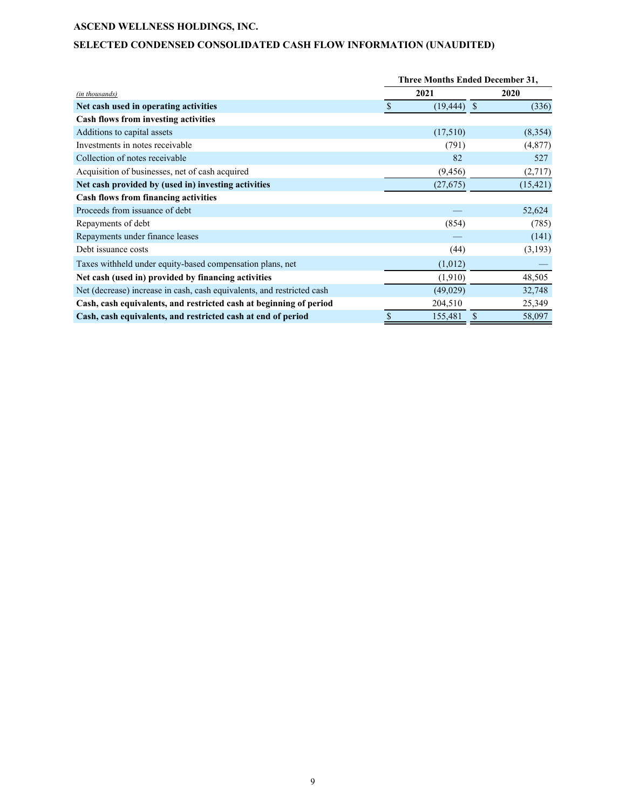# **SELECTED CONDENSED CONSOLIDATED CASH FLOW INFORMATION (UNAUDITED)**

|                                                                        |    | <b>Three Months Ended December 31,</b> |      |           |  |  |
|------------------------------------------------------------------------|----|----------------------------------------|------|-----------|--|--|
| (in thousands)                                                         |    | 2021                                   | 2020 |           |  |  |
| Net cash used in operating activities                                  | S  | $(19, 444)$ \$                         |      | (336)     |  |  |
| Cash flows from investing activities                                   |    |                                        |      |           |  |  |
| Additions to capital assets                                            |    | (17,510)                               |      | (8,354)   |  |  |
| Investments in notes receivable.                                       |    | (791)                                  |      | (4,877)   |  |  |
| Collection of notes receivable                                         |    | 82                                     |      | 527       |  |  |
| Acquisition of businesses, net of cash acquired                        |    | (9, 456)                               |      | (2,717)   |  |  |
| Net cash provided by (used in) investing activities                    |    | (27,675)                               |      | (15, 421) |  |  |
| <b>Cash flows from financing activities</b>                            |    |                                        |      |           |  |  |
| Proceeds from issuance of debt                                         |    |                                        |      | 52,624    |  |  |
| Repayments of debt                                                     |    | (854)                                  |      | (785)     |  |  |
| Repayments under finance leases                                        |    |                                        |      | (141)     |  |  |
| Debt issuance costs                                                    |    | (44)                                   |      | (3,193)   |  |  |
| Taxes withheld under equity-based compensation plans, net              |    | (1,012)                                |      |           |  |  |
| Net cash (used in) provided by financing activities                    |    | (1,910)                                |      | 48,505    |  |  |
| Net (decrease) increase in cash, cash equivalents, and restricted cash |    | (49,029)                               |      | 32,748    |  |  |
| Cash, cash equivalents, and restricted cash at beginning of period     |    | 204,510                                |      | 25,349    |  |  |
| Cash, cash equivalents, and restricted cash at end of period           | \$ | 155,481                                | \$   | 58,097    |  |  |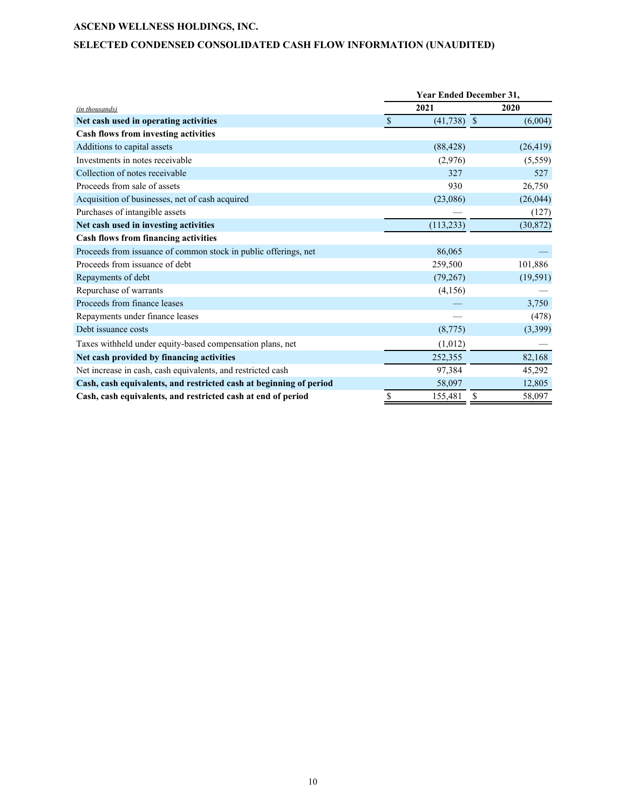# **SELECTED CONDENSED CONSOLIDATED CASH FLOW INFORMATION (UNAUDITED)**

|                                                                    |               | <b>Year Ended December 31,</b> |    |           |  |  |
|--------------------------------------------------------------------|---------------|--------------------------------|----|-----------|--|--|
| (in thousands)                                                     |               | 2021                           |    | 2020      |  |  |
| Net cash used in operating activities                              | $\mathcal{S}$ | $(41, 738)$ \$                 |    | (6,004)   |  |  |
| Cash flows from investing activities                               |               |                                |    |           |  |  |
| Additions to capital assets                                        |               | (88, 428)                      |    | (26, 419) |  |  |
| Investments in notes receivable                                    |               | (2,976)                        |    | (5,559)   |  |  |
| Collection of notes receivable                                     |               | 327                            |    | 527       |  |  |
| Proceeds from sale of assets                                       |               | 930                            |    | 26,750    |  |  |
| Acquisition of businesses, net of cash acquired                    |               | (23,086)                       |    | (26, 044) |  |  |
| Purchases of intangible assets                                     |               |                                |    | (127)     |  |  |
| Net cash used in investing activities                              |               | (113, 233)                     |    | (30, 872) |  |  |
| <b>Cash flows from financing activities</b>                        |               |                                |    |           |  |  |
| Proceeds from issuance of common stock in public offerings, net    |               | 86,065                         |    |           |  |  |
| Proceeds from issuance of debt                                     |               | 259,500                        |    | 101,886   |  |  |
| Repayments of debt                                                 |               | (79,267)                       |    | (19, 591) |  |  |
| Repurchase of warrants                                             |               | (4,156)                        |    |           |  |  |
| Proceeds from finance leases                                       |               |                                |    | 3,750     |  |  |
| Repayments under finance leases                                    |               |                                |    | (478)     |  |  |
| Debt issuance costs                                                |               | (8,775)                        |    | (3, 399)  |  |  |
| Taxes withheld under equity-based compensation plans, net          |               | (1,012)                        |    |           |  |  |
| Net cash provided by financing activities                          |               | 252,355                        |    | 82,168    |  |  |
| Net increase in cash, cash equivalents, and restricted cash        |               | 97,384                         |    | 45,292    |  |  |
| Cash, cash equivalents, and restricted cash at beginning of period |               | 58,097                         |    | 12,805    |  |  |
| Cash, cash equivalents, and restricted cash at end of period       | \$            | 155,481                        | \$ | 58,097    |  |  |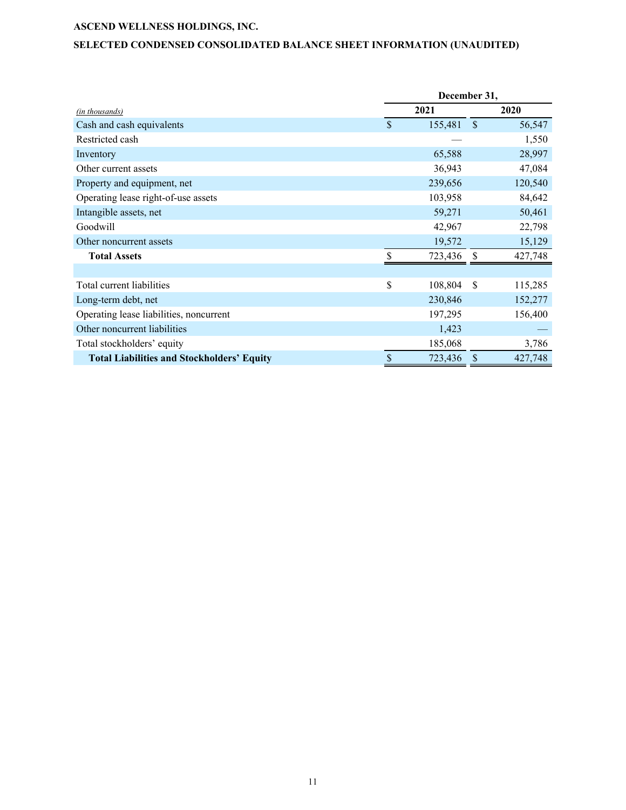# **SELECTED CONDENSED CONSOLIDATED BALANCE SHEET INFORMATION (UNAUDITED)**

|                                                   | December 31,  |               |         |  |
|---------------------------------------------------|---------------|---------------|---------|--|
| (in thousands)                                    | 2021          |               | 2020    |  |
| Cash and cash equivalents                         | \$<br>155,481 | $\mathcal{S}$ | 56,547  |  |
| Restricted cash                                   |               |               | 1,550   |  |
| Inventory                                         | 65,588        |               | 28,997  |  |
| Other current assets                              | 36,943        |               | 47,084  |  |
| Property and equipment, net                       | 239,656       |               | 120,540 |  |
| Operating lease right-of-use assets               | 103,958       |               | 84,642  |  |
| Intangible assets, net                            | 59,271        |               | 50,461  |  |
| Goodwill                                          | 42,967        |               | 22,798  |  |
| Other noncurrent assets                           | 19,572        |               | 15,129  |  |
| <b>Total Assets</b>                               | 723,436       |               | 427,748 |  |
|                                                   |               |               |         |  |
| Total current liabilities                         | \$<br>108,804 | -S            | 115,285 |  |
| Long-term debt, net                               | 230,846       |               | 152,277 |  |
| Operating lease liabilities, noncurrent           | 197,295       |               | 156,400 |  |
| Other noncurrent liabilities                      | 1,423         |               |         |  |
| Total stockholders' equity                        | 185,068       |               | 3,786   |  |
| <b>Total Liabilities and Stockholders' Equity</b> | \$<br>723,436 | S             | 427,748 |  |